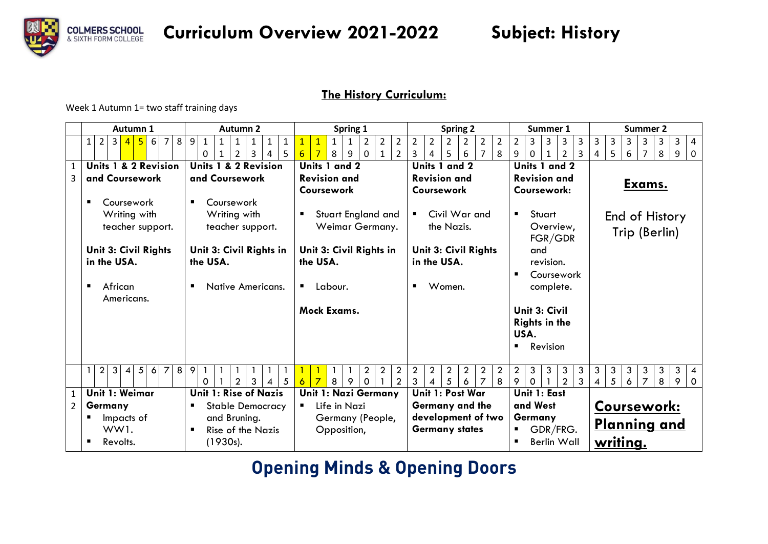

### **The History Curriculum:**

Week 1 Autumn 1= two staff training days

|                | Autumn 1                                                                                             | Autumn 2                                                                                                          | Spring 1                                                                                                                                         | <b>Spring 2</b>                                                                                                                             | Summer 1                                                                        | <b>Summer 2</b>                                                                                                     |
|----------------|------------------------------------------------------------------------------------------------------|-------------------------------------------------------------------------------------------------------------------|--------------------------------------------------------------------------------------------------------------------------------------------------|---------------------------------------------------------------------------------------------------------------------------------------------|---------------------------------------------------------------------------------|---------------------------------------------------------------------------------------------------------------------|
|                | 5 <sup>1</sup><br>6<br>8<br>3 <br>$\overline{7}$<br>$\overline{2}$<br>$\overline{4}$<br>$\mathbf{1}$ | 9<br>$\mathbf{1}$<br>$\mathbf{1}$<br>1<br>$\mathbf{1}$<br>1<br>$\mathbf{1}$<br>$\overline{2}$<br>3<br>5<br>0<br>4 | $\overline{2}$<br>$\mathbf{1}$<br>$\overline{2}$<br>$\overline{1}$<br>2<br>1<br>$\overline{2}$<br>$\overline{7}$<br>8<br>6<br>9<br>$\Omega$<br>1 | $\overline{2}$<br>$\overline{2}$<br>$\overline{2}$<br>$\overline{2}$<br>$\overline{2}$<br>$2^{\circ}$<br>6<br>3<br>5<br>$\overline{7}$<br>8 | $\overline{2}$<br>$\overline{3}$<br>3<br>3<br>3<br>9<br>$\mathcal{P}$<br>3<br>0 | 3<br>$\overline{3}$<br>3<br>3<br>3<br>3<br>$\overline{4}$<br>5<br>6<br>8<br>9<br>$\overline{7}$<br>$\mathbf 0$<br>4 |
| $\mathbf{1}$   | Units 1 & 2 Revision                                                                                 | Units 1 & 2 Revision                                                                                              | Units 1 and 2                                                                                                                                    | Units 1 and 2                                                                                                                               | Units 1 and 2                                                                   |                                                                                                                     |
| 3              | and Coursework                                                                                       | and Coursework                                                                                                    | <b>Revision and</b>                                                                                                                              | <b>Revision and</b>                                                                                                                         | <b>Revision and</b>                                                             |                                                                                                                     |
|                |                                                                                                      |                                                                                                                   | Coursework                                                                                                                                       | Coursework                                                                                                                                  | Coursework:                                                                     | <u>Exams.</u>                                                                                                       |
|                | Coursework                                                                                           | Coursework<br>$\blacksquare$                                                                                      |                                                                                                                                                  |                                                                                                                                             |                                                                                 |                                                                                                                     |
|                | Writing with                                                                                         | Writing with                                                                                                      | Stuart England and                                                                                                                               | Civil War and                                                                                                                               | Stuart<br>п.                                                                    | End of History                                                                                                      |
|                | teacher support.                                                                                     | teacher support.                                                                                                  | Weimar Germany.                                                                                                                                  | the Nazis.                                                                                                                                  | Overview,<br>FGR/GDR                                                            | Trip (Berlin)                                                                                                       |
|                | Unit 3: Civil Rights                                                                                 | Unit 3: Civil Rights in                                                                                           | Unit 3: Civil Rights in                                                                                                                          | Unit 3: Civil Rights                                                                                                                        | and                                                                             |                                                                                                                     |
|                | in the USA.                                                                                          | the USA.                                                                                                          | the USA.                                                                                                                                         | in the USA.                                                                                                                                 | revision.                                                                       |                                                                                                                     |
|                |                                                                                                      |                                                                                                                   |                                                                                                                                                  |                                                                                                                                             | Coursework                                                                      |                                                                                                                     |
|                | African<br>Americans.                                                                                | Native Americans.                                                                                                 | Labour.                                                                                                                                          | Women.<br>п                                                                                                                                 | complete.                                                                       |                                                                                                                     |
|                |                                                                                                      |                                                                                                                   | Mock Exams.                                                                                                                                      |                                                                                                                                             | Unit 3: Civil                                                                   |                                                                                                                     |
|                |                                                                                                      |                                                                                                                   |                                                                                                                                                  |                                                                                                                                             | <b>Rights in the</b><br>USA.                                                    |                                                                                                                     |
|                |                                                                                                      |                                                                                                                   |                                                                                                                                                  |                                                                                                                                             | Revision                                                                        |                                                                                                                     |
|                | $\overline{2}$<br>$\overline{z}$<br>8<br>3<br>5 <sup>1</sup><br>$\overline{4}$<br>6                  | 9                                                                                                                 | $\boldsymbol{2}$<br>$\overline{2}$<br>$\overline{2}$                                                                                             | $\overline{2}$<br>$\overline{a}$<br>$\overline{2}$<br>$\overline{2}$<br>$\overline{2}$<br>$\overline{2}$                                    | $\overline{2}$<br>3 <sup>1</sup><br>3<br>3<br>3                                 | $\mathbf{3}$<br>3<br>3<br>$\mathbf{3}$<br>3 <sup>1</sup><br>3<br>$\overline{4}$                                     |
|                |                                                                                                      | $\overline{2}$<br>3<br>5<br>0<br>4                                                                                | $\overline{2}$<br>$\overline{7}$<br>8<br>9<br>$\Omega$<br>6                                                                                      | 3<br>5<br>6<br>8<br>$\overline{7}$<br>Δ                                                                                                     | $\overline{3}$<br>9<br>$\mathcal{P}$<br>$\mathbf 0$                             | 5<br>8<br>6<br>$\overline{7}$<br>9 0                                                                                |
| $\mathbf{1}$   | Unit 1: Weimar                                                                                       | Unit 1: Rise of Nazis                                                                                             | Unit 1: Nazi Germany                                                                                                                             | Unit 1: Post War                                                                                                                            | Unit 1: East                                                                    |                                                                                                                     |
| $\overline{2}$ | Germany                                                                                              | Stable Democracy<br>٠                                                                                             | Life in Nazi                                                                                                                                     | Germany and the                                                                                                                             | and West                                                                        | Coursework:                                                                                                         |
|                | Impacts of                                                                                           | and Bruning.                                                                                                      | Germany (People,                                                                                                                                 | development of two                                                                                                                          | Germany                                                                         | Planning and                                                                                                        |
|                | WW1.                                                                                                 | <b>Rise of the Nazis</b>                                                                                          | Opposition,                                                                                                                                      | <b>Germany states</b>                                                                                                                       | GDR/FRG.<br>٠                                                                   |                                                                                                                     |
|                | Revolts.                                                                                             | (1930s).                                                                                                          |                                                                                                                                                  |                                                                                                                                             | <b>Berlin Wall</b>                                                              | writing.                                                                                                            |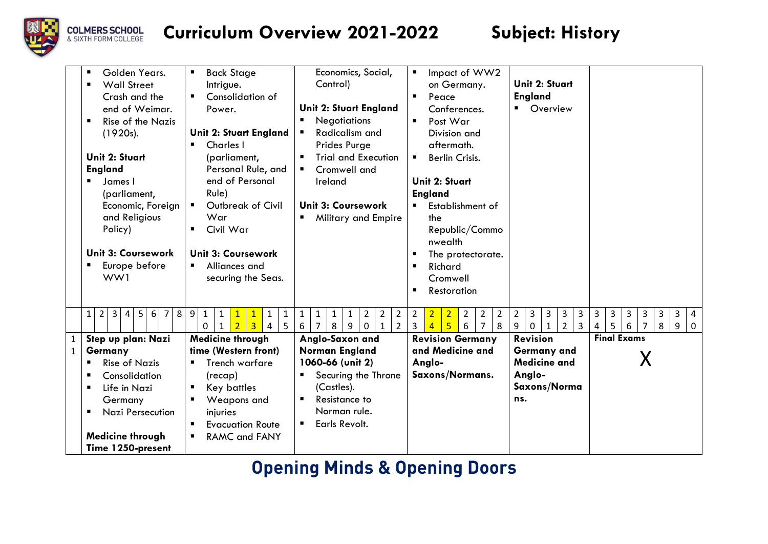

| Golden Years.<br><b>Wall Street</b><br>Crash and the<br>end of Weimar.<br>Rise of the Nazis<br>(1920s).<br>Unit 2: Stuart<br><b>England</b><br>James I<br>(parliament,<br>Economic, Foreign<br>and Religious<br>Policy)<br><b>Unit 3: Coursework</b><br>Europe before<br>WW1              | <b>Back Stage</b><br>٠<br>Intrigue.<br>Consolidation of<br>٠<br>Power.<br><b>Unit 2: Stuart England</b><br><b>Charles</b> I<br>(parliament,<br>Personal Rule, and<br>end of Personal<br>Rule)<br>Outbreak of Civil<br>$\blacksquare$<br>War<br>Civil War<br>٠<br><b>Unit 3: Coursework</b><br>Alliances and<br>$\blacksquare$<br>securing the Seas. | Economics, Social,<br>Control)<br>Unit 2: Stuart England<br><b>Negotiations</b><br>ш<br>Radicalism and<br>Prides Purge<br><b>Trial and Execution</b><br>Cromwell and<br>Ireland<br><b>Unit 3: Coursework</b><br>Military and Empire<br>$\blacksquare$                                                                                     | Impact of WW2<br>$\blacksquare$<br>on Germany.<br>$\blacksquare$<br>Peace<br>Conferences.<br>Post War<br>Division and<br>aftermath.<br><b>Berlin Crisis.</b><br>п<br><b>Unit 2: Stuart</b><br><b>England</b><br>Establishment of<br>$\blacksquare$<br>the<br>Republic/Commo<br>nwealth<br>The protectorate.<br>п<br>Richard<br>$\blacksquare$<br>Cromwell<br>$\blacksquare$<br>Restoration | Unit 2: Stuart<br><b>England</b><br>Overview<br>$\blacksquare$                                                                                                                       |                                                                                                                                              |
|-------------------------------------------------------------------------------------------------------------------------------------------------------------------------------------------------------------------------------------------------------------------------------------------|-----------------------------------------------------------------------------------------------------------------------------------------------------------------------------------------------------------------------------------------------------------------------------------------------------------------------------------------------------|-------------------------------------------------------------------------------------------------------------------------------------------------------------------------------------------------------------------------------------------------------------------------------------------------------------------------------------------|--------------------------------------------------------------------------------------------------------------------------------------------------------------------------------------------------------------------------------------------------------------------------------------------------------------------------------------------------------------------------------------------|--------------------------------------------------------------------------------------------------------------------------------------------------------------------------------------|----------------------------------------------------------------------------------------------------------------------------------------------|
| 8<br>$\overline{2}$<br>3 <sup>1</sup><br>5 <sup>1</sup><br>6<br>$\overline{4}$<br>7 <sup>1</sup><br>$\mathbf{1}$<br>Step up plan: Nazi<br>Germany<br><b>Rise of Nazis</b><br>Consolidation<br>Life in Nazi<br>Germany<br><b>Nazi Persecution</b><br>Medicine through<br>Time 1250-present | $\overline{9}$<br>$\mathbf{1}$<br>$\mathbf{1}$<br>$\mathbf{1}$<br>1<br>$\overline{3}$<br>5<br>$\overline{4}$<br>0<br>$\overline{2}$<br>$\mathbf{1}$<br><b>Medicine through</b><br>time (Western front)<br>Trench warfare<br>(recap)<br>Key battles<br>ш<br>Weapons and<br>injuries<br><b>Evacuation Route</b><br>٠<br><b>RAMC and FANY</b>          | $\mathbf{1}$<br>$\overline{2}$<br>$\overline{2}$<br>$\overline{2}$<br>$\mathbf{1}$<br>$\mathbf{1}$<br>$\mathbf{1}$<br>6<br>8<br>9<br>$\overline{2}$<br>7<br>$\mathbf 0$<br>1<br>Anglo-Saxon and<br><b>Norman England</b><br>1060-66 (unit 2)<br>Securing the Throne<br>(Castles).<br>Resistance to<br>Norman rule.<br>Earls Revolt.<br>п. | $\overline{2}$<br>$\overline{2}$<br>$\overline{2}$<br>$\overline{2}$<br>$\overline{2}$<br>$\overline{2}$<br>5 <sup>1</sup><br>$\overline{3}$<br>8<br>6<br>$\overline{7}$<br>$\overline{4}$<br><b>Revision Germany</b><br>and Medicine and<br>Anglo-<br>Saxons/Normans.                                                                                                                     | $\overline{2}$<br>3<br>3<br>3<br>3<br>9<br>$\mathbf{1}$<br>$\overline{2}$<br>3<br>0<br><b>Revision</b><br><b>Germany and</b><br><b>Medicine and</b><br>Anglo-<br>Saxons/Norma<br>ns. | $\mathbf{3}$<br>3<br>3<br>3<br>3<br>3<br>4<br>5 <sub>1</sub><br>$\overline{7}$<br>8<br>6<br>9<br>$\mathbf 0$<br>4<br><b>Final Exams</b><br>Х |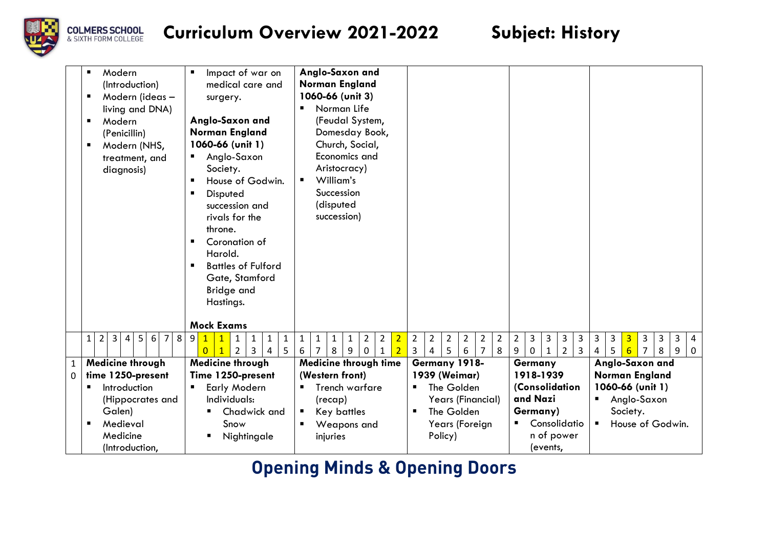

|              | Modern<br>٠<br>(Introduction)<br>Modern (ideas -<br>٠<br>living and DNA)<br>Modern<br>٠<br>(Penicillin)<br>٠<br>Modern (NHS,<br>treatment, and<br>diagnosis) | Impact of war on<br>$\blacksquare$<br>medical care and<br>surgery.<br>Anglo-Saxon and<br><b>Norman England</b><br>1060-66 (unit 1)<br>Anglo-Saxon<br>п<br>Society.<br>House of Godwin.<br>п<br>Disputed<br>п<br>succession and<br>rivals for the<br>throne.<br>Coronation of<br>п<br>Harold.<br><b>Battles of Fulford</b><br>$\blacksquare$<br>Gate, Stamford<br>Bridge and<br>Hastings. | Anglo-Saxon and<br>Norman England<br>1060-66 (unit 3)<br>Norman Life<br>п<br>(Feudal System,<br>Domesday Book,<br>Church, Social,<br>Economics and<br>Aristocracy)<br>William's<br>$\blacksquare$<br>Succession<br>(disputed<br>succession) |                                                                                                                                                             |                                                                                     |                                                                                                                                               |
|--------------|--------------------------------------------------------------------------------------------------------------------------------------------------------------|------------------------------------------------------------------------------------------------------------------------------------------------------------------------------------------------------------------------------------------------------------------------------------------------------------------------------------------------------------------------------------------|---------------------------------------------------------------------------------------------------------------------------------------------------------------------------------------------------------------------------------------------|-------------------------------------------------------------------------------------------------------------------------------------------------------------|-------------------------------------------------------------------------------------|-----------------------------------------------------------------------------------------------------------------------------------------------|
|              | $\overline{3}$<br>$\overline{4}$<br>5<br>6 <br>8<br>$\overline{7}$<br>$\mathbf{1}$<br>$\overline{2}$                                                         | <b>Mock Exams</b><br>9<br>$\mathbf{1}$<br>$\mathbf{1}$<br>$\mathbf{1}$<br>$\mathbf{1}$<br>$\overline{3}$<br>$\Omega$<br>$\overline{2}$<br>5<br>$\mathbf{1}$<br>4                                                                                                                                                                                                                         | $\overline{2}$<br>$\overline{2}$<br>$\overline{2}$<br>$\mathbf{1}$<br>$\mathbf{1}$<br>$\mathbf{1}$<br>$\mathbf{1}$<br>8<br>9<br>$\overline{2}$<br>6<br>$\mathbf 0$<br>7<br>$\mathbf{1}$                                                     | $\overline{2}$<br>$2^{\circ}$<br>$\overline{2}$<br>$\overline{2}$<br>$\overline{2}$<br>$\overline{2}$<br>5<br>$\mathbf{3}$<br>$\overline{7}$<br>8<br>4<br>6 | $\overline{2}$<br>3<br>3<br>3<br>3<br>9<br>0<br>$\overline{2}$<br>3<br>$\mathbf{1}$ | 3<br>3<br>3<br>$\overline{3}$<br>$\mathbf{3}$<br>3<br>$\overline{4}$<br>$6 \overline{6}$<br>5<br>8<br>4<br>$\overline{7}$<br>9<br>$\mathbf 0$ |
| $\mathbf{1}$ | Medicine through                                                                                                                                             | Medicine through                                                                                                                                                                                                                                                                                                                                                                         | Medicine through time                                                                                                                                                                                                                       | Germany 1918-                                                                                                                                               | Germany                                                                             | Anglo-Saxon and                                                                                                                               |
| $\Omega$     | time 1250-present                                                                                                                                            | Time 1250-present                                                                                                                                                                                                                                                                                                                                                                        | (Western front)                                                                                                                                                                                                                             | 1939 (Weimar)                                                                                                                                               | 1918-1939                                                                           | Norman England                                                                                                                                |
|              | Introduction<br>п                                                                                                                                            | Early Modern<br>п                                                                                                                                                                                                                                                                                                                                                                        | Trench warfare<br>п                                                                                                                                                                                                                         | The Golden                                                                                                                                                  | (Consolidation                                                                      | 1060-66 (unit 1)                                                                                                                              |
|              | (Hippocrates and                                                                                                                                             | Individuals:                                                                                                                                                                                                                                                                                                                                                                             | (recap)                                                                                                                                                                                                                                     | Years (Financial)                                                                                                                                           | and Nazi                                                                            | Anglo-Saxon<br>п                                                                                                                              |
|              | Galen)                                                                                                                                                       | Chadwick and                                                                                                                                                                                                                                                                                                                                                                             | Key battles<br>п                                                                                                                                                                                                                            | The Golden<br>п                                                                                                                                             | Germany)                                                                            | Society.                                                                                                                                      |
|              | Medieval<br>٠                                                                                                                                                | Snow                                                                                                                                                                                                                                                                                                                                                                                     | Weapons and                                                                                                                                                                                                                                 | Years (Foreign                                                                                                                                              | Consolidatio                                                                        | House of Godwin.<br>$\blacksquare$                                                                                                            |
|              | Medicine                                                                                                                                                     | Nightingale<br>п                                                                                                                                                                                                                                                                                                                                                                         | injuries                                                                                                                                                                                                                                    | Policy)                                                                                                                                                     | n of power                                                                          |                                                                                                                                               |
|              | (Introduction,                                                                                                                                               |                                                                                                                                                                                                                                                                                                                                                                                          |                                                                                                                                                                                                                                             |                                                                                                                                                             | (events,                                                                            |                                                                                                                                               |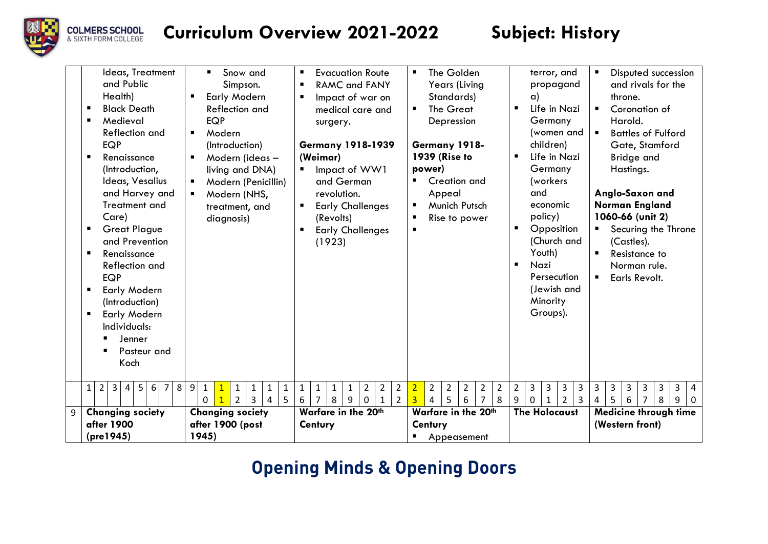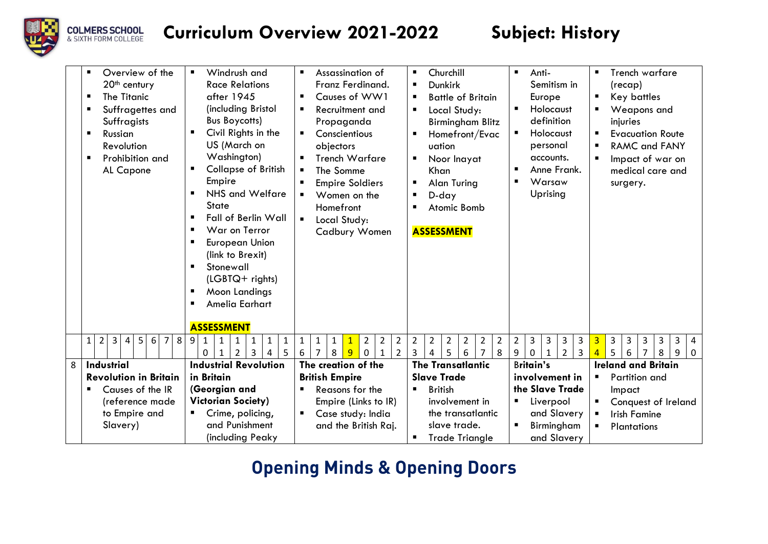

|   | Overview of the<br>п.<br>20 <sup>th</sup> century<br><b>The Titanic</b><br>Suffragettes and<br>Suffragists<br>Russian<br>٠<br>Revolution<br>Prohibition and<br>AL Capone | Windrush and<br>٠<br><b>Race Relations</b><br>after 1945<br>(including Bristol<br><b>Bus Boycotts)</b><br>Civil Rights in the<br>п<br>US (March on<br>Washington)<br><b>Collapse of British</b><br>п<br>Empire<br>NHS and Welfare<br>п<br>State<br><b>Fall of Berlin Wall</b><br>$\blacksquare$<br>War on Terror<br>п<br><b>European Union</b><br>ш<br>(link to Brexit)<br>Stonewall<br>п<br>(LGBTQ+ rights)<br>Moon Landings<br>п<br>Amelia Earhart<br>ш<br><b>ASSESSMENT</b> | Assassination of<br>$\blacksquare$<br>Franz Ferdinand.<br>Causes of WW1<br>п.<br>Recruitment and<br>Propaganda<br>Conscientious<br>$\blacksquare$<br>objectors<br><b>Trench Warfare</b><br>The Somme<br>٠<br><b>Empire Soldiers</b><br>Women on the<br>Homefront<br>Local Study:<br>$\blacksquare$<br>Cadbury Women | Churchill<br>$\blacksquare$<br><b>Dunkirk</b><br>п<br><b>Battle of Britain</b><br>п<br>Local Study:<br>п<br><b>Birmingham Blitz</b><br>Homefront/Evac<br>uation<br>Noor Inayat<br>п<br>Khan<br>Alan Turing<br>п<br>D-day<br>п<br>Atomic Bomb<br>п<br><b>ASSESSMENT</b> | $\blacksquare$<br>Anti-<br>Semitism in<br>Europe<br>Holocaust<br>$\blacksquare$<br>definition<br>Holocaust<br>п<br>personal<br>accounts.<br>Anne Frank.<br>п<br>Warsaw<br>п<br>Uprising | Trench warfare<br>$\blacksquare$<br>(recap)<br>Key battles<br>п<br>Weapons and<br>injuries<br><b>Evacuation Route</b><br>٠<br><b>RAMC and FANY</b><br>п<br>Impact of war on<br>л.<br>medical care and<br>surgery. |  |
|---|--------------------------------------------------------------------------------------------------------------------------------------------------------------------------|--------------------------------------------------------------------------------------------------------------------------------------------------------------------------------------------------------------------------------------------------------------------------------------------------------------------------------------------------------------------------------------------------------------------------------------------------------------------------------|---------------------------------------------------------------------------------------------------------------------------------------------------------------------------------------------------------------------------------------------------------------------------------------------------------------------|------------------------------------------------------------------------------------------------------------------------------------------------------------------------------------------------------------------------------------------------------------------------|-----------------------------------------------------------------------------------------------------------------------------------------------------------------------------------------|-------------------------------------------------------------------------------------------------------------------------------------------------------------------------------------------------------------------|--|
|   | $\overline{2}$<br>$\mathbf{3}$<br>5 <sup>1</sup><br>8<br>6<br>$\overline{7}$<br>4<br>1                                                                                   | 9<br>$\mathbf{1}$<br>$\mathbf{1}$<br>$\mathbf{1}$<br>1<br>3<br>5<br>2<br>0<br>4<br>1                                                                                                                                                                                                                                                                                                                                                                                           | $\overline{2}$<br>$\overline{2}$<br>$\overline{2}$<br>$\mathbf{1}$<br>$\mathbf{1}$<br>1<br>$\mathbf{1}$<br>$\overline{9}$<br>7<br>8<br>$\overline{2}$<br>6<br>$\mathbf{0}$<br>$\mathbf{1}$                                                                                                                          | $\overline{2}$<br>$\overline{2}$<br>$\overline{2}$<br>$\overline{2}$<br>$\overline{2}$<br>$\overline{2}$<br>5<br>3<br>6<br>$\overline{7}$<br>8<br>4                                                                                                                    | 3<br>3<br>$\overline{2}$<br>3<br>3<br>$\overline{2}$<br>$\overline{3}$<br>9<br>0<br>$\mathbf{1}$                                                                                        | $\overline{3}$<br>3<br>3<br>3<br>3<br>3<br>4<br>5<br>$\overline{4}$<br>8<br>6<br>9<br>7<br>$\Omega$                                                                                                               |  |
| 8 | <b>Industrial</b>                                                                                                                                                        | <b>Industrial Revolution</b>                                                                                                                                                                                                                                                                                                                                                                                                                                                   | The creation of the                                                                                                                                                                                                                                                                                                 | <b>The Transatlantic</b>                                                                                                                                                                                                                                               | <b>Britain's</b>                                                                                                                                                                        | <b>Ireland and Britain</b>                                                                                                                                                                                        |  |
|   | <b>Revolution in Britain</b>                                                                                                                                             | in Britain                                                                                                                                                                                                                                                                                                                                                                                                                                                                     | <b>British Empire</b>                                                                                                                                                                                                                                                                                               | <b>Slave Trade</b>                                                                                                                                                                                                                                                     | involvement in                                                                                                                                                                          | Partition and<br>٠.                                                                                                                                                                                               |  |
|   | Causes of the IR<br>٠                                                                                                                                                    | (Georgian and                                                                                                                                                                                                                                                                                                                                                                                                                                                                  | Reasons for the                                                                                                                                                                                                                                                                                                     | <b>British</b><br>п                                                                                                                                                                                                                                                    | the Slave Trade                                                                                                                                                                         | Impact                                                                                                                                                                                                            |  |
|   | (reference made                                                                                                                                                          | <b>Victorian Society)</b>                                                                                                                                                                                                                                                                                                                                                                                                                                                      | Empire (Links to IR)                                                                                                                                                                                                                                                                                                | involvement in                                                                                                                                                                                                                                                         | Liverpool<br>п                                                                                                                                                                          | Conquest of Ireland<br>ш                                                                                                                                                                                          |  |
|   | to Empire and                                                                                                                                                            | Crime, policing,<br>$\blacksquare$                                                                                                                                                                                                                                                                                                                                                                                                                                             | Case study: India                                                                                                                                                                                                                                                                                                   | the transatiantic                                                                                                                                                                                                                                                      | and Slavery                                                                                                                                                                             | <b>Irish Famine</b><br>$\blacksquare$                                                                                                                                                                             |  |
|   | Slavery)                                                                                                                                                                 | and Punishment                                                                                                                                                                                                                                                                                                                                                                                                                                                                 | and the British Raj.                                                                                                                                                                                                                                                                                                | slave trade.                                                                                                                                                                                                                                                           | Birmingham                                                                                                                                                                              | Plantations                                                                                                                                                                                                       |  |
|   |                                                                                                                                                                          | (including Peaky                                                                                                                                                                                                                                                                                                                                                                                                                                                               |                                                                                                                                                                                                                                                                                                                     | <b>Trade Triangle</b><br>п                                                                                                                                                                                                                                             | and Slavery                                                                                                                                                                             |                                                                                                                                                                                                                   |  |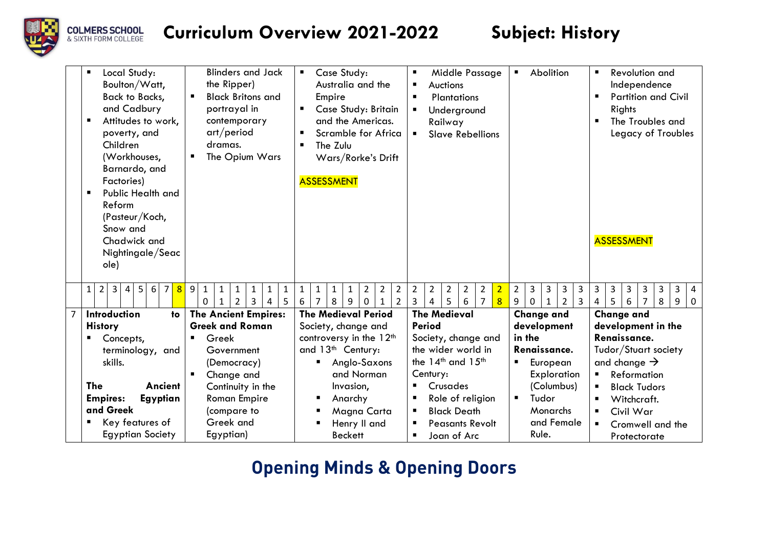

| <b>Blinders and Jack</b><br>Local Study:<br>the Ripper)<br>Boulton/Watt,<br><b>Back to Backs,</b><br><b>Black Britons and</b><br>٠<br>and Cadbury<br>portrayal in<br>Attitudes to work,<br>contemporary<br>ш<br>art/period<br>poverty, and<br>Children<br>dramas.<br>The Opium Wars<br>(Workhouses,<br>٠<br>Barnardo, and<br>Factories)<br><b>Public Health and</b><br>٠<br>Reform<br>(Pasteur/Koch,<br>Snow and<br>Chadwick and<br>Nightingale/Seac<br>ole) | Case Study:<br>$\blacksquare$<br>Australia and the<br>Empire<br>Case Study: Britain<br>and the Americas.<br>Scramble for Africa<br>The Zulu<br>Wars/Rorke's Drift<br><b>ASSESSMENT</b> | Middle Passage<br>п<br>Auctions<br>п<br>Plantations<br>$\blacksquare$<br>Underground<br>п<br>Railway<br><b>Slave Rebellions</b> | Abolition<br>п                                                                             | <b>Revolution and</b><br>Independence<br><b>Partition and Civil</b><br>$\blacksquare$<br>Rights<br>The Troubles and<br>$\blacksquare$<br>Legacy of Troubles<br><b>ASSESSMENT</b> |  |
|--------------------------------------------------------------------------------------------------------------------------------------------------------------------------------------------------------------------------------------------------------------------------------------------------------------------------------------------------------------------------------------------------------------------------------------------------------------|----------------------------------------------------------------------------------------------------------------------------------------------------------------------------------------|---------------------------------------------------------------------------------------------------------------------------------|--------------------------------------------------------------------------------------------|----------------------------------------------------------------------------------------------------------------------------------------------------------------------------------|--|
| 5 <sup>1</sup><br>3 <sup>1</sup><br>$\overline{7}$<br>8<br>9<br>$\overline{2}$<br>$\overline{4}$<br>6<br>$\mathbf{1}$<br>1<br>$\mathbf{1}$<br>1<br>1<br>1<br>1<br>5<br>$\overline{2}$<br>3<br>$\Omega$<br>1<br>4                                                                                                                                                                                                                                             | $\overline{2}$<br>$\overline{2}$<br>1<br>1<br>$\mathbf{1}$<br>2<br>$\mathbf{1}$<br>8<br>9<br>6<br>7<br>$\Omega$<br>$\mathbf{1}$<br>2                                                   | $\overline{2}$<br>$\overline{2}$<br>2<br>2<br>$\overline{2}$<br>2<br>3<br>5<br>6<br>$\overline{7}$<br>8<br>4                    | $\overline{2}$<br>3<br>3<br>3<br>3<br>9<br>$\overline{2}$<br>3<br>$\Omega$<br>$\mathbf{1}$ | 3<br>3<br>3<br>3<br>3<br>3<br>4<br>5.<br>6<br>$\overline{7}$<br>8<br>9<br>4<br>$\Omega$                                                                                          |  |
| <b>The Ancient Empires:</b><br>Introduction<br>to                                                                                                                                                                                                                                                                                                                                                                                                            | <b>The Medieval Period</b>                                                                                                                                                             | <b>The Medieval</b>                                                                                                             | <b>Change and</b>                                                                          | <b>Change and</b>                                                                                                                                                                |  |
| <b>Greek and Roman</b><br><b>History</b>                                                                                                                                                                                                                                                                                                                                                                                                                     | Society, change and                                                                                                                                                                    | <b>Period</b>                                                                                                                   | development                                                                                | development in the                                                                                                                                                               |  |
| Greek<br>Concepts,<br>٠<br>п                                                                                                                                                                                                                                                                                                                                                                                                                                 | controversy in the 12 <sup>th</sup>                                                                                                                                                    | Society, change and                                                                                                             | in the                                                                                     | Renaissance.                                                                                                                                                                     |  |
| terminology, and<br>Government                                                                                                                                                                                                                                                                                                                                                                                                                               | and 13 <sup>th</sup> Century:                                                                                                                                                          | the wider world in                                                                                                              | Renaissance.                                                                               | Tudor/Stuart society                                                                                                                                                             |  |
| skills.<br>(Democracy)                                                                                                                                                                                                                                                                                                                                                                                                                                       | Anglo-Saxons                                                                                                                                                                           | the 14 <sup>th</sup> and 15 <sup>th</sup>                                                                                       | European                                                                                   | and change $\rightarrow$                                                                                                                                                         |  |
| Change and<br>٠                                                                                                                                                                                                                                                                                                                                                                                                                                              | and Norman                                                                                                                                                                             | Century:                                                                                                                        | Exploration                                                                                | <b>Reformation</b><br>$\blacksquare$                                                                                                                                             |  |
| <b>The</b><br>Ancient<br>Continuity in the                                                                                                                                                                                                                                                                                                                                                                                                                   | Invasion,                                                                                                                                                                              | Crusades<br>٠                                                                                                                   | (Columbus)                                                                                 | <b>Black Tudors</b><br>٠                                                                                                                                                         |  |
| Egyptian<br><b>Empires:</b><br><b>Roman Empire</b>                                                                                                                                                                                                                                                                                                                                                                                                           | Anarchy                                                                                                                                                                                | Role of religion<br>п                                                                                                           | Tudor<br>П                                                                                 | Witchcraft.                                                                                                                                                                      |  |
| and Greek<br>(compare to                                                                                                                                                                                                                                                                                                                                                                                                                                     | Magna Carta                                                                                                                                                                            | <b>Black Death</b><br>п                                                                                                         | Monarchs                                                                                   | Civil War<br>п.                                                                                                                                                                  |  |
| Key features of<br>Greek and<br>٠                                                                                                                                                                                                                                                                                                                                                                                                                            | Henry II and                                                                                                                                                                           | <b>Peasants Revolt</b><br>п                                                                                                     | and Female                                                                                 | Cromwell and the<br>п.                                                                                                                                                           |  |
| <b>Egyptian Society</b><br>Egyptian)                                                                                                                                                                                                                                                                                                                                                                                                                         | <b>Beckett</b>                                                                                                                                                                         | Joan of Arc<br>п                                                                                                                | Rule.                                                                                      | Protectorate                                                                                                                                                                     |  |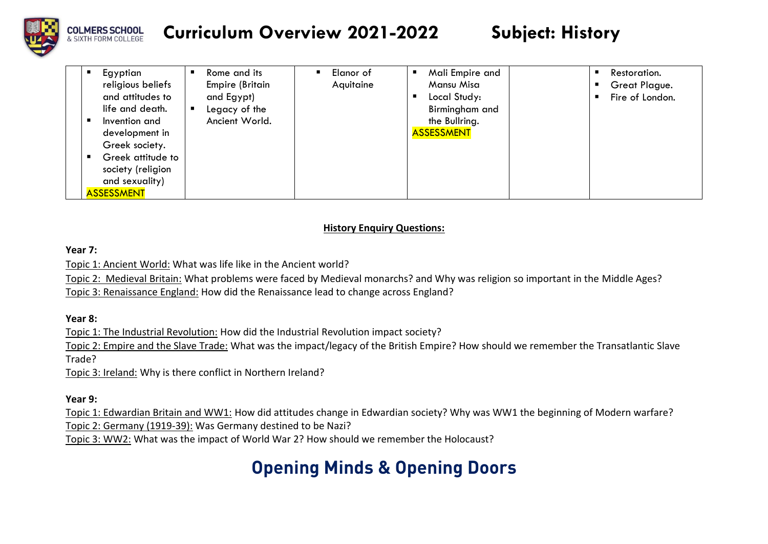

| Egyptian<br>п<br>religious beliefs<br>and attitudes to<br>life and death.<br>Invention and<br>п<br>development in<br>Greek society.<br>Greek attitude to<br>л<br>society (religion<br>and sexuality)<br><b>ASSESSMENT</b> | Rome and its<br><b>Empire (Britain</b><br>and Egypt)<br>Legacy of the<br>Ancient World. | Elanor of<br>Aquitaine | Mali Empire and<br>Mansu Misa<br>Local Study:<br>Birmingham and<br>the Bullring.<br><b>ASSESSMENT</b> | Restoration.<br>п<br>Great Plague.<br>Fire of London. |  |
|---------------------------------------------------------------------------------------------------------------------------------------------------------------------------------------------------------------------------|-----------------------------------------------------------------------------------------|------------------------|-------------------------------------------------------------------------------------------------------|-------------------------------------------------------|--|
|---------------------------------------------------------------------------------------------------------------------------------------------------------------------------------------------------------------------------|-----------------------------------------------------------------------------------------|------------------------|-------------------------------------------------------------------------------------------------------|-------------------------------------------------------|--|

### **History Enquiry Questions:**

### **Year 7:**

Topic 1: Ancient World: What was life like in the Ancient world?

Topic 2: Medieval Britain: What problems were faced by Medieval monarchs? and Why was religion so important in the Middle Ages?

Topic 3: Renaissance England: How did the Renaissance lead to change across England?

**Year 8:**

Topic 1: The Industrial Revolution: How did the Industrial Revolution impact society?

Topic 2: Empire and the Slave Trade: What was the impact/legacy of the British Empire? How should we remember the Transatlantic Slave Trade?

Topic 3: Ireland: Why is there conflict in Northern Ireland?

### **Year 9:**

Topic 1: Edwardian Britain and WW1: How did attitudes change in Edwardian society? Why was WW1 the beginning of Modern warfare? Topic 2: Germany (1919-39): Was Germany destined to be Nazi?

Topic 3: WW2: What was the impact of World War 2? How should we remember the Holocaust?